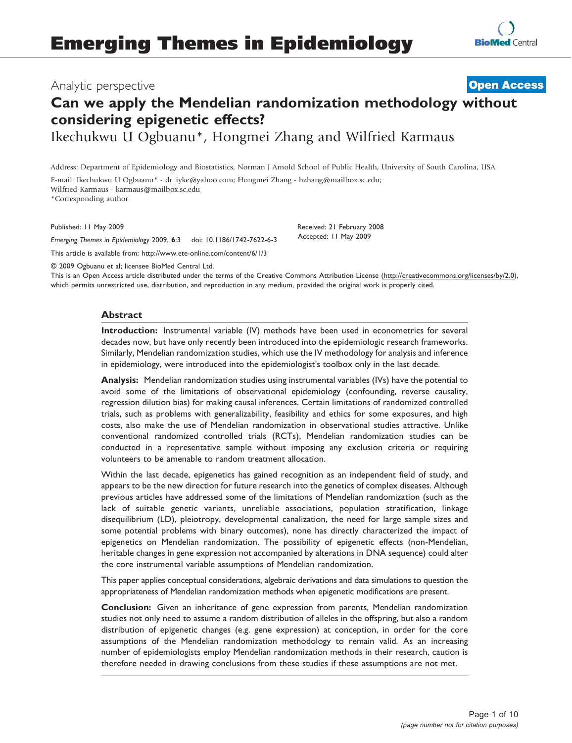

**[Open Access](http://www.biomedcentral.com/info/about/charter/)**

### Analytic perspective

# Can we apply the Mendelian randomization methodology without considering epigenetic effects?

Ikechukwu U Ogbuanu\*, Hongmei Zhang and Wilfried Karmaus

Address: Department of Epidemiology and Biostatistics, Norman J Arnold School of Public Health, University of South Carolina, USA

E-mail: Ikechukwu U Ogbuanu\* - dr\_iyke@yahoo.com; Hongmei Zhang - hzhang@mailbox.sc.edu; Wilfried Karmaus - karmaus@mailbox.sc.edu \*Corresponding author

Emerging Themes in Epidemiology 2009, <sup>6</sup>:3 doi: 10.1186/1742-7622-6-3 Accepted: 11 May 2009 This article is available from: http://www.ete-online.com/content/6/1/3

Published: 11 May 2009 Received: 21 February 2008

© 2009 Ogbuanu et al; licensee BioMed Central Ltd.

This is an Open Access article distributed under the terms of the Creative Commons Attribution License [\(http://creativecommons.org/licenses/by/2.0\)](http://creativecommons.org/licenses/by/2.0), which permits unrestricted use, distribution, and reproduction in any medium, provided the original work is properly cited.

#### **Abstract**

Introduction: Instrumental variable (IV) methods have been used in econometrics for several decades now, but have only recently been introduced into the epidemiologic research frameworks. Similarly, Mendelian randomization studies, which use the IV methodology for analysis and inference in epidemiology, were introduced into the epidemiologist's toolbox only in the last decade.

Analysis: Mendelian randomization studies using instrumental variables (IVs) have the potential to avoid some of the limitations of observational epidemiology (confounding, reverse causality, regression dilution bias) for making causal inferences. Certain limitations of randomized controlled trials, such as problems with generalizability, feasibility and ethics for some exposures, and high costs, also make the use of Mendelian randomization in observational studies attractive. Unlike conventional randomized controlled trials (RCTs), Mendelian randomization studies can be conducted in a representative sample without imposing any exclusion criteria or requiring volunteers to be amenable to random treatment allocation.

Within the last decade, epigenetics has gained recognition as an independent field of study, and appears to be the new direction for future research into the genetics of complex diseases. Although previous articles have addressed some of the limitations of Mendelian randomization (such as the lack of suitable genetic variants, unreliable associations, population stratification, linkage disequilibrium (LD), pleiotropy, developmental canalization, the need for large sample sizes and some potential problems with binary outcomes), none has directly characterized the impact of epigenetics on Mendelian randomization. The possibility of epigenetic effects (non-Mendelian, heritable changes in gene expression not accompanied by alterations in DNA sequence) could alter the core instrumental variable assumptions of Mendelian randomization.

This paper applies conceptual considerations, algebraic derivations and data simulations to question the appropriateness of Mendelian randomization methods when epigenetic modifications are present.

Conclusion: Given an inheritance of gene expression from parents, Mendelian randomization studies not only need to assume a random distribution of alleles in the offspring, but also a random distribution of epigenetic changes (e.g. gene expression) at conception, in order for the core assumptions of the Mendelian randomization methodology to remain valid. As an increasing number of epidemiologists employ Mendelian randomization methods in their research, caution is therefore needed in drawing conclusions from these studies if these assumptions are not met.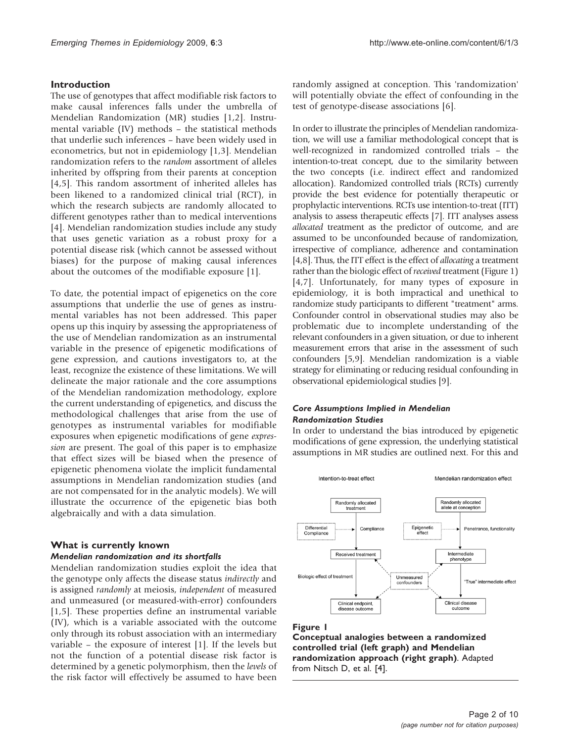#### <span id="page-1-0"></span>Introduction

The use of genotypes that affect modifiable risk factors to make causal inferences falls under the umbrella of Mendelian Randomization (MR) studies [\[1,2\]](#page-8-0). Instrumental variable (IV) methods – the statistical methods that underlie such inferences – have been widely used in econometrics, but not in epidemiology [\[1,3\]](#page-8-0). Mendelian randomization refers to the random assortment of alleles inherited by offspring from their parents at conception [[4](#page-8-0),[5](#page-9-0)]. This random assortment of inherited alleles has been likened to a randomized clinical trial (RCT), in which the research subjects are randomly allocated to different genotypes rather than to medical interventions [[4](#page-8-0)]. Mendelian randomization studies include any study that uses genetic variation as a robust proxy for a potential disease risk (which cannot be assessed without biases) for the purpose of making causal inferences about the outcomes of the modifiable exposure [[1](#page-8-0)].

To date, the potential impact of epigenetics on the core assumptions that underlie the use of genes as instrumental variables has not been addressed. This paper opens up this inquiry by assessing the appropriateness of the use of Mendelian randomization as an instrumental variable in the presence of epigenetic modifications of gene expression, and cautions investigators to, at the least, recognize the existence of these limitations. We will delineate the major rationale and the core assumptions of the Mendelian randomization methodology, explore the current understanding of epigenetics, and discuss the methodological challenges that arise from the use of genotypes as instrumental variables for modifiable exposures when epigenetic modifications of gene expression are present. The goal of this paper is to emphasize that effect sizes will be biased when the presence of epigenetic phenomena violate the implicit fundamental assumptions in Mendelian randomization studies (and are not compensated for in the analytic models). We will illustrate the occurrence of the epigenetic bias both algebraically and with a data simulation.

#### What is currently known

#### Mendelian randomization and its shortfalls

Mendelian randomization studies exploit the idea that the genotype only affects the disease status indirectly and is assigned randomly at meiosis, independent of measured and unmeasured (or measured-with-error) confounders [[1](#page-8-0),[5](#page-9-0)]. These properties define an instrumental variable (IV), which is a variable associated with the outcome only through its robust association with an intermediary variable – the exposure of interest [[1](#page-8-0)]. If the levels but not the function of a potential disease risk factor is determined by a genetic polymorphism, then the levels of the risk factor will effectively be assumed to have been

randomly assigned at conception. This 'randomization' will potentially obviate the effect of confounding in the test of genotype-disease associations [\[6\]](#page-9-0).

In order to illustrate the principles of Mendelian randomization, we will use a familiar methodological concept that is well-recognized in randomized controlled trials – the intention-to-treat concept, due to the similarity between the two concepts (i.e. indirect effect and randomized allocation). Randomized controlled trials (RCTs) currently provide the best evidence for potentially therapeutic or prophylactic interventions. RCTs use intention-to-treat (ITT) analysis to assess therapeutic effects [[7\]](#page-9-0). ITT analyses assess allocated treatment as the predictor of outcome, and are assumed to be unconfounded because of randomization, irrespective of compliance, adherence and contamination [\[4,](#page-8-0)[8](#page-9-0)]. Thus, the ITT effect is the effect of allocating a treatment rather than the biologic effect of *received* treatment (Figure 1) [[4](#page-8-0)[,7\]](#page-9-0). Unfortunately, for many types of exposure in epidemiology, it is both impractical and unethical to randomize study participants to different "treatment" arms. Confounder control in observational studies may also be problematic due to incomplete understanding of the relevant confounders in a given situation, or due to inherent measurement errors that arise in the assessment of such confounders [\[5,9\]](#page-9-0). Mendelian randomization is a viable strategy for eliminating or reducing residual confounding in observational epidemiological studies [\[9](#page-9-0)].

#### Core Assumptions Implied in Mendelian Randomization Studies

In order to understand the bias introduced by epigenetic modifications of gene expression, the underlying statistical assumptions in MR studies are outlined next. For this and



#### Figure 1

Conceptual analogies between a randomized controlled trial (left graph) and Mendelian randomization approach (right graph). Adapted from Nitsch D, et al. [[4](#page-8-0)].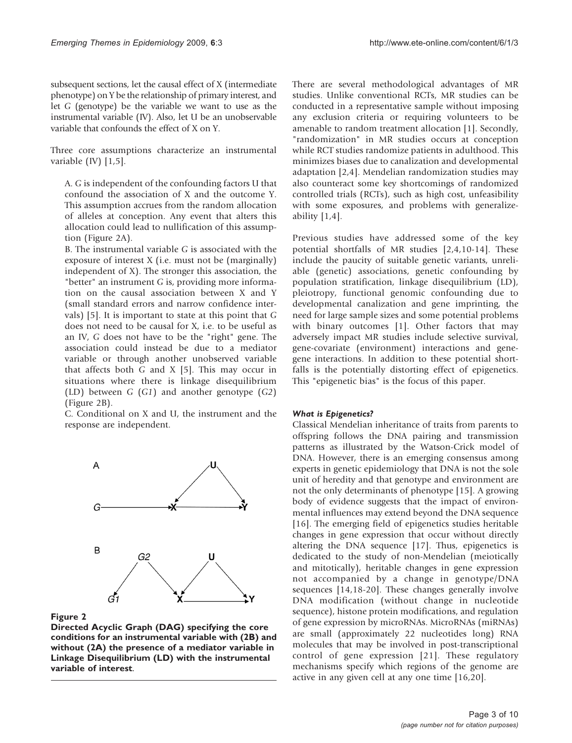subsequent sections, let the causal effect of X (intermediate phenotype) on Y be the relationship of primary interest, and let G (genotype) be the variable we want to use as the instrumental variable (IV). Also, let U be an unobservable variable that confounds the effect of X on Y.

Three core assumptions characterize an instrumental variable (IV) [[1,](#page-8-0)[5\]](#page-9-0).

A. G is independent of the confounding factors U that confound the association of X and the outcome Y. This assumption accrues from the random allocation of alleles at conception. Any event that alters this allocation could lead to nullification of this assumption (Figure 2A).

B. The instrumental variable G is associated with the exposure of interest X (i.e. must not be (marginally) independent of X). The stronger this association, the "better" an instrument G is, providing more information on the causal association between X and Y (small standard errors and narrow confidence intervals) [\[5\]](#page-9-0). It is important to state at this point that G does not need to be causal for X, i.e. to be useful as an IV, G does not have to be the "right" gene. The association could instead be due to a mediator variable or through another unobserved variable that affects both  $G$  and  $X$  [[5](#page-9-0)]. This may occur in situations where there is linkage disequilibrium (LD) between G (G1) and another genotype (G2) (Figure 2B).

C. Conditional on X and U, the instrument and the response are independent.



#### Figure 2

Directed Acyclic Graph (DAG) specifying the core conditions for an instrumental variable with (2B) and without (2A) the presence of a mediator variable in Linkage Disequilibrium (LD) with the instrumental variable of interest.

There are several methodological advantages of MR studies. Unlike conventional RCTs, MR studies can be conducted in a representative sample without imposing any exclusion criteria or requiring volunteers to be amenable to random treatment allocation [[1](#page-8-0)]. Secondly, "randomization" in MR studies occurs at conception while RCT studies randomize patients in adulthood. This minimizes biases due to canalization and developmental adaptation [[2](#page-8-0),[4](#page-8-0)]. Mendelian randomization studies may also counteract some key shortcomings of randomized controlled trials (RCTs), such as high cost, unfeasibility with some exposures, and problems with generalizeability [[1](#page-8-0),[4](#page-8-0)].

Previous studies have addressed some of the key potential shortfalls of MR studies [\[2,4](#page-8-0)[,10-14](#page-9-0)]. These include the paucity of suitable genetic variants, unreliable (genetic) associations, genetic confounding by population stratification, linkage disequilibrium (LD), pleiotropy, functional genomic confounding due to developmental canalization and gene imprinting, the need for large sample sizes and some potential problems with binary outcomes [[1\]](#page-8-0). Other factors that may adversely impact MR studies include selective survival, gene-covariate (environment) interactions and genegene interactions. In addition to these potential shortfalls is the potentially distorting effect of epigenetics. This "epigenetic bias" is the focus of this paper.

#### What is Epigenetics?

Classical Mendelian inheritance of traits from parents to offspring follows the DNA pairing and transmission patterns as illustrated by the Watson-Crick model of DNA. However, there is an emerging consensus among experts in genetic epidemiology that DNA is not the sole unit of heredity and that genotype and environment are not the only determinants of phenotype [[15\]](#page-9-0). A growing body of evidence suggests that the impact of environmental influences may extend beyond the DNA sequence [[16](#page-9-0)]. The emerging field of epigenetics studies heritable changes in gene expression that occur without directly altering the DNA sequence [\[17](#page-9-0)]. Thus, epigenetics is dedicated to the study of non-Mendelian (meiotically and mitotically), heritable changes in gene expression not accompanied by a change in genotype/DNA sequences [[14,18-20](#page-9-0)]. These changes generally involve DNA modification (without change in nucleotide sequence), histone protein modifications, and regulation of gene expression by microRNAs. MicroRNAs (miRNAs) are small (approximately 22 nucleotides long) RNA molecules that may be involved in post-transcriptional control of gene expression [[21](#page-9-0)]. These regulatory mechanisms specify which regions of the genome are active in any given cell at any one time [[16](#page-9-0),[20\]](#page-9-0).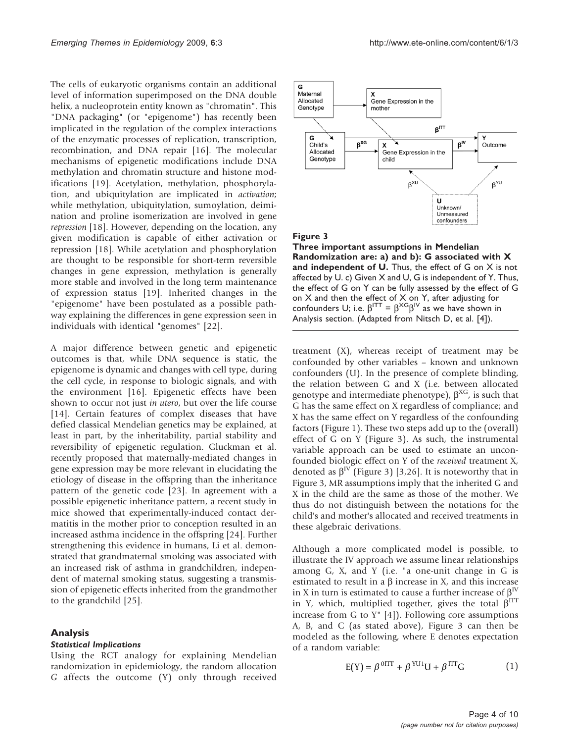<span id="page-3-0"></span>The cells of eukaryotic organisms contain an additional level of information superimposed on the DNA double helix, a nucleoprotein entity known as "chromatin". This "DNA packaging" (or "epigenome") has recently been implicated in the regulation of the complex interactions of the enzymatic processes of replication, transcription, recombination, and DNA repair [[16](#page-9-0)]. The molecular mechanisms of epigenetic modifications include DNA methylation and chromatin structure and histone modifications [[19\]](#page-9-0). Acetylation, methylation, phosphorylation, and ubiquitylation are implicated in activation; while methylation, ubiquitylation, sumoylation, deimination and proline isomerization are involved in gene repression [[18\]](#page-9-0). However, depending on the location, any given modification is capable of either activation or repression [[18\]](#page-9-0). While acetylation and phosphorylation are thought to be responsible for short-term reversible changes in gene expression, methylation is generally more stable and involved in the long term maintenance of expression status [\[19](#page-9-0)]. Inherited changes in the "epigenome" have been postulated as a possible pathway explaining the differences in gene expression seen in individuals with identical "genomes" [[22\]](#page-9-0).

A major difference between genetic and epigenetic outcomes is that, while DNA sequence is static, the epigenome is dynamic and changes with cell type, during the cell cycle, in response to biologic signals, and with the environment [[16\]](#page-9-0). Epigenetic effects have been shown to occur not just *in utero*, but over the life course [[14\]](#page-9-0). Certain features of complex diseases that have defied classical Mendelian genetics may be explained, at least in part, by the inheritability, partial stability and reversibility of epigenetic regulation. Gluckman et al. recently proposed that maternally-mediated changes in gene expression may be more relevant in elucidating the etiology of disease in the offspring than the inheritance pattern of the genetic code [[23\]](#page-9-0). In agreement with a possible epigenetic inheritance pattern, a recent study in mice showed that experimentally-induced contact dermatitis in the mother prior to conception resulted in an increased asthma incidence in the offspring [[24\]](#page-9-0). Further strengthening this evidence in humans, Li et al. demonstrated that grandmaternal smoking was associated with an increased risk of asthma in grandchildren, independent of maternal smoking status, suggesting a transmission of epigenetic effects inherited from the grandmother to the grandchild [\[25](#page-9-0)].

#### Analysis

#### Statistical Implications

Using the RCT analogy for explaining Mendelian randomization in epidemiology, the random allocation G affects the outcome (Y) only through received



Figure 3

Three important assumptions in Mendelian Randomization are: a) and b): G associated with X and independent of  $U$ . Thus, the effect of  $G$  on  $X$  is not affected by U. c) Given X and U, G is independent of Y. Thus, the effect of G on Y can be fully assessed by the effect of G on  $X$  and then the effect of  $X$  on  $Y$ , after adjusting for confounders U; i.e.  $\beta^{ITT} = \beta^{XG} \beta^{IV}$  as we have shown in Analysis section. (Adapted from Nitsch D, et al. [[4](#page-8-0)]).

treatment (X), whereas receipt of treatment may be confounded by other variables – known and unknown confounders (U). In the presence of complete blinding, the relation between G and X (i.e. between allocated genotype and intermediate phenotype),  $\beta^{XG}$ , is such that G has the same effect on X regardless of compliance; and X has the same effect on Y regardless of the confounding factors (Figure [1\)](#page-1-0). These two steps add up to the (overall) effect of G on Y (Figure 3). As such, the instrumental variable approach can be used to estimate an unconfounded biologic effect on Y of the received treatment X, denoted as  $\beta^{\text{IV}}$  (Figure [3](#page-8-0)) [3,[26\]](#page-9-0). It is noteworthy that in Figure 3, MR assumptions imply that the inherited G and X in the child are the same as those of the mother. We thus do not distinguish between the notations for the child's and mother's allocated and received treatments in these algebraic derivations.

Although a more complicated model is possible, to illustrate the IV approach we assume linear relationships among G, X, and Y (i.e. "a one-unit change in G is estimated to result in a  $\beta$  increase in X, and this increase in X in turn is estimated to cause a further increase of  $\beta^{\text{IV}}$ in Y, which, multiplied together, gives the total  $\beta^{\text{ITT}}$ increase from G to Y" [\[4\]](#page-8-0)). Following core assumptions A, B, and C (as stated above), Figure 3 can then be modeled as the following, where E denotes expectation of a random variable:

$$
E(Y) = \beta^{0ITT} + \beta^{YU1}U + \beta^{ITT}G
$$
 (1)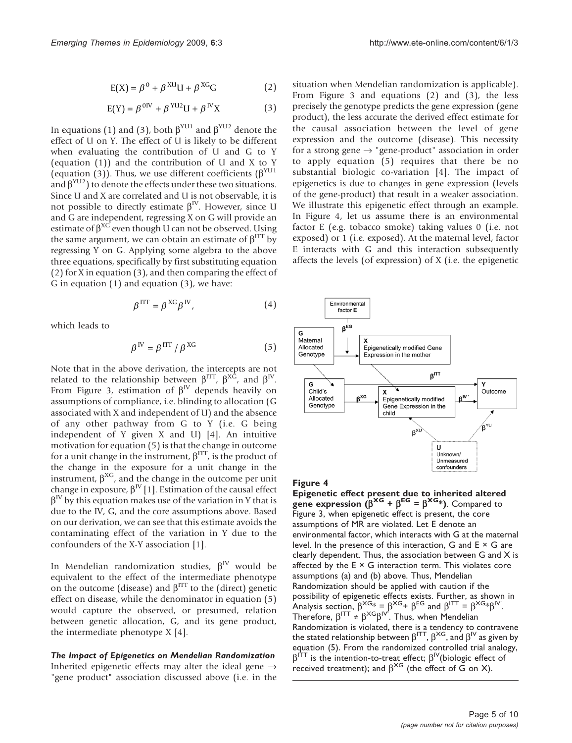$$
E(X) = \beta^0 + \beta^{XU}U + \beta^{XG}G
$$
 (2)

$$
E(Y) = \beta^{0IV} + \beta^{YU2}U + \beta^{IV}X
$$
 (3)

<span id="page-4-0"></span>In equations (1) and (3), both  $\beta^{YU1}$  and  $\beta^{YU2}$  denote the effect of U on Y. The effect of U is likely to be different when evaluating the contribution of U and G to Y (equation (1)) and the contribution of U and X to Y (equation (3)). Thus, we use different coefficients ( $\beta^{YU1}$ and  $\beta^{YU2}$ ) to denote the effects under these two situations. Since U and X are correlated and U is not observable, it is not possible to directly estimate  $\beta^{IV}$ . However, since U and G are independent, regressing X on G will provide an estimate of  $\beta^{XG}$  even though U can not be observed. Using the same argument, we can obtain an estimate of  $\beta^{\text{ITT}}$  by regressing Y on G. Applying some algebra to the above three equations, specifically by first substituting equation (2) for X in equation (3), and then comparing the effect of G in equation (1) and equation (3), we have:

$$
\beta^{\text{ITT}} = \beta^{\text{XG}} \beta^{\text{IV}},\tag{4}
$$

which leads to

$$
\beta^{\text{IV}} = \beta^{\text{ITT}} / \beta^{\text{XG}}
$$
 (5)

Note that in the above derivation, the intercepts are not related to the relationship between  $\beta^{\text{IT}}$ ,  $\beta^{\text{XG}}$ , and  $\beta^{\text{IV}}$ . From Figure [3,](#page-3-0) estimation of  $\beta^{\text{IV}}$  depends heavily on assumptions of compliance, i.e. blinding to allocation (G associated with X and independent of U) and the absence of any other pathway from G to Y (i.e. G being independent of Y given X and U) [\[4\]](#page-8-0). An intuitive motivation for equation (5) is that the change in outcome for a unit change in the instrument,  $\beta^{\text{ITT}}$ , is the product of the change in the exposure for a unit change in the instrument,  $\beta^{XG}$ , and the change in the outcome per unit change in exposure,  $\beta^{IV}$  [[1](#page-8-0)]. Estimation of the causal effect  $\beta^{IV}$  by this equation makes use of the variation in Y that is due to the IV, G, and the core assumptions above. Based on our derivation, we can see that this estimate avoids the contaminating effect of the variation in Y due to the confounders of the X-Y association [[1](#page-8-0)].

In Mendelian randomization studies,  $\beta^{IV}$  would be equivalent to the effect of the intermediate phenotype on the outcome (disease) and  $\beta^{\text{ITT}}$  to the (direct) genetic effect on disease, while the denominator in equation (5) would capture the observed, or presumed, relation between genetic allocation, G, and its gene product, the intermediate phenotype X [\[4\]](#page-8-0).

#### The Impact of Epigenetics on Mendelian Randomization Inherited epigenetic effects may alter the ideal gene  $\rightarrow$ "gene product" association discussed above (i.e. in the

situation when Mendelian randomization is applicable). From Figure [3](#page-3-0) and equations (2) and (3), the less precisely the genotype predicts the gene expression (gene product), the less accurate the derived effect estimate for the causal association between the level of gene expression and the outcome (disease). This necessity for a strong gene  $\rightarrow$  "gene-product" association in order to apply equation (5) requires that there be no substantial biologic co-variation [[4\]](#page-8-0). The impact of epigenetics is due to changes in gene expression (levels of the gene-product) that result in a weaker association. We illustrate this epigenetic effect through an example. In Figure 4, let us assume there is an environmental factor E (e.g. tobacco smoke) taking values 0 (i.e. not exposed) or 1 (i.e. exposed). At the maternal level, factor E interacts with G and this interaction subsequently affects the levels (of expression) of X (i.e. the epigenetic



#### Figure 4

Epigenetic effect present due to inherited altered gene expression ( $\beta^{XG}$  +  $\beta^{EG}$  =  $\beta^{XG*}$ ). Compared to Figure 3, when epigenetic effect is present, the core assumptions of MR are violated. Let E denote an environmental factor, which interacts with G at the maternal level. In the presence of this interaction, G and  $E \times G$  are clearly dependent. Thus, the association between G and X is affected by the  $E \times G$  interaction term. This violates core assumptions (a) and (b) above. Thus, Mendelian Randomization should be applied with caution if the possibility of epigenetic effects exists. Further, as shown in Analysis section,  $\beta^{XG*} = \beta^{XG} + \beta^{EG}$  and  $\beta^{ITT} = \beta^{XG*}\beta^{IV}$ . Therefore,  $\beta^{IT} \neq \beta^{XG}\beta^{IV}$ . Thus, when Mendelian Randomization is violated, there is a tendency to contravene the stated relationship between  $\beta^{IT}$ ,  $\beta^{XG}$ , and  $\beta^{IV}$  as given by equation (5). From the randomized controlled trial analogy,  $\beta^{ITT}$  is the intention-to-treat effect;  $\beta^{IV}$ (biologic effect of received treatment); and  $\beta^{XG}$  (the effect of G on X).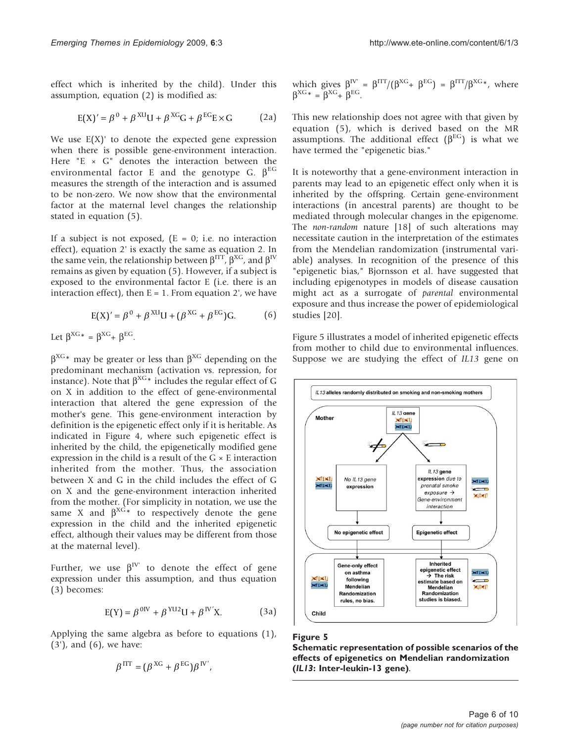<span id="page-5-0"></span>effect which is inherited by the child). Under this assumption, equation (2) is modified as:

$$
E(X)' = \beta^{0} + \beta^{XU}U + \beta^{XG}G + \beta^{EG}E \times G
$$
 (2a)

We use  $E(X)$ ' to denote the expected gene expression when there is possible gene-environment interaction. Here "E × G" denotes the interaction between the environmental factor E and the genotype G.  $\beta^{EG}$ measures the strength of the interaction and is assumed to be non-zero. We now show that the environmental factor at the maternal level changes the relationship stated in equation (5).

If a subject is not exposed,  $(E = 0; i.e.$  no interaction effect), equation 2' is exactly the same as equation 2. In the same vein, the relationship between  $\beta^{\text{ITT}}, \beta^{\text{XG}}$ , and  $\beta^{\text{IV}}$ remains as given by equation (5). However, if a subject is exposed to the environmental factor E (i.e. there is an interaction effect), then  $E = 1$ . From equation 2', we have

$$
E(X)' = \beta^0 + \beta^{XU}U + (\beta^{XG} + \beta^{EG})G.
$$
 (6)

Let  $\beta^{\text{XG}_{*}} = \beta^{\text{XG}_{+}} \, \beta^{\text{EG}}.$ 

 $\beta^{XG*}$  may be greater or less than  $\beta^{XG}$  depending on the predominant mechanism (activation vs. repression, for instance). Note that  $\beta^{XG*}$  includes the regular effect of G on X in addition to the effect of gene-environmental interaction that altered the gene expression of the mother's gene. This gene-environment interaction by definition is the epigenetic effect only if it is heritable. As indicated in Figure [4,](#page-4-0) where such epigenetic effect is inherited by the child, the epigenetically modified gene expression in the child is a result of the  $G \times E$  interaction inherited from the mother. Thus, the association between X and G in the child includes the effect of G on X and the gene-environment interaction inherited from the mother. (For simplicity in notation, we use the same X and  $\beta^{XG*}$  to respectively denote the gene expression in the child and the inherited epigenetic effect, although their values may be different from those at the maternal level).

Further, we use  $\beta^{IV}$  to denote the effect of gene expression under this assumption, and thus equation (3) becomes:

$$
E(Y) = \beta^{0IV} + \beta^{YU2}U + \beta^{IV'}X.
$$
 (3a)

Applying the same algebra as before to equations (1), (3'), and (6), we have:

$$
\beta^{\text{ITT}} = (\beta^{\text{ XG}} + \beta^{\text{ EG}})\beta^{\text{IV}'},
$$

which gives  $\beta^{\text{IV}'} = \beta^{\text{ITT}}/(\beta^{\text{XG}} + \beta^{\text{EG}}) = \beta^{\text{ITT}}/\beta^{\text{XG}*}$ , where  $\beta^{XG*} = \beta^{XG} + \beta^{EG}.$ 

This new relationship does not agree with that given by equation (5), which is derived based on the MR assumptions. The additional effect  $(\beta^{EG})$  is what we have termed the "epigenetic bias."

It is noteworthy that a gene-environment interaction in parents may lead to an epigenetic effect only when it is inherited by the offspring. Certain gene-environment interactions (in ancestral parents) are thought to be mediated through molecular changes in the epigenome. The non-random nature [\[18](#page-9-0)] of such alterations may necessitate caution in the interpretation of the estimates from the Mendelian randomization (instrumental variable) analyses. In recognition of the presence of this "epigenetic bias," Bjornsson et al. have suggested that including epigenotypes in models of disease causation might act as a surrogate of parental environmental exposure and thus increase the power of epidemiological studies [\[20](#page-9-0)].

Figure 5 illustrates a model of inherited epigenetic effects from mother to child due to environmental influences. Suppose we are studying the effect of IL13 gene on



#### Figure 5

Schematic representation of possible scenarios of the effects of epigenetics on Mendelian randomization (IL13: Inter-leukin-13 gene).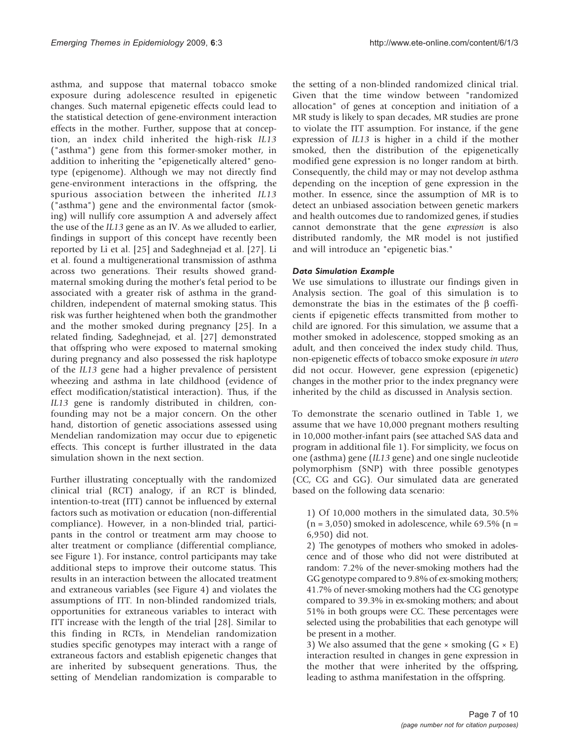asthma, and suppose that maternal tobacco smoke exposure during adolescence resulted in epigenetic changes. Such maternal epigenetic effects could lead to the statistical detection of gene-environment interaction effects in the mother. Further, suppose that at conception, an index child inherited the high-risk IL13 ("asthma") gene from this former-smoker mother, in addition to inheriting the "epigenetically altered" genotype (epigenome). Although we may not directly find gene-environment interactions in the offspring, the spurious association between the inherited IL13 ("asthma") gene and the environmental factor (smoking) will nullify core assumption A and adversely affect the use of the IL13 gene as an IV. As we alluded to earlier, findings in support of this concept have recently been reported by Li et al. [[25\]](#page-9-0) and Sadeghnejad et al. [\[27](#page-9-0)]. Li et al. found a multigenerational transmission of asthma across two generations. Their results showed grandmaternal smoking during the mother's fetal period to be associated with a greater risk of asthma in the grandchildren, independent of maternal smoking status. This risk was further heightened when both the grandmother and the mother smoked during pregnancy [\[25](#page-9-0)]. In a related finding, Sadeghnejad, et al. [\[27](#page-9-0)] demonstrated that offspring who were exposed to maternal smoking during pregnancy and also possessed the risk haplotype of the IL13 gene had a higher prevalence of persistent wheezing and asthma in late childhood (evidence of effect modification/statistical interaction). Thus, if the IL13 gene is randomly distributed in children, confounding may not be a major concern. On the other hand, distortion of genetic associations assessed using Mendelian randomization may occur due to epigenetic effects. This concept is further illustrated in the data simulation shown in the next section.

Further illustrating conceptually with the randomized clinical trial (RCT) analogy, if an RCT is blinded, intention-to-treat (ITT) cannot be influenced by external factors such as motivation or education (non-differential compliance). However, in a non-blinded trial, participants in the control or treatment arm may choose to alter treatment or compliance (differential compliance, see Figure [1](#page-1-0)). For instance, control participants may take additional steps to improve their outcome status. This results in an interaction between the allocated treatment and extraneous variables (see Figure [4](#page-4-0)) and violates the assumptions of ITT. In non-blinded randomized trials, opportunities for extraneous variables to interact with ITT increase with the length of the trial [[28\]](#page-9-0). Similar to this finding in RCTs, in Mendelian randomization studies specific genotypes may interact with a range of extraneous factors and establish epigenetic changes that are inherited by subsequent generations. Thus, the setting of Mendelian randomization is comparable to the setting of a non-blinded randomized clinical trial. Given that the time window between "randomized allocation" of genes at conception and initiation of a MR study is likely to span decades, MR studies are prone to violate the ITT assumption. For instance, if the gene expression of IL13 is higher in a child if the mother smoked, then the distribution of the epigenetically modified gene expression is no longer random at birth. Consequently, the child may or may not develop asthma depending on the inception of gene expression in the mother. In essence, since the assumption of MR is to detect an unbiased association between genetic markers and health outcomes due to randomized genes, if studies cannot demonstrate that the gene expression is also distributed randomly, the MR model is not justified and will introduce an "epigenetic bias."

#### Data Simulation Example

We use simulations to illustrate our findings given in Analysis section. The goal of this simulation is to demonstrate the bias in the estimates of the  $\beta$  coefficients if epigenetic effects transmitted from mother to child are ignored. For this simulation, we assume that a mother smoked in adolescence, stopped smoking as an adult, and then conceived the index study child. Thus, non-epigenetic effects of tobacco smoke exposure in utero did not occur. However, gene expression (epigenetic) changes in the mother prior to the index pregnancy were inherited by the child as discussed in Analysis section.

To demonstrate the scenario outlined in Table [1,](#page-7-0) we assume that we have 10,000 pregnant mothers resulting in 10,000 mother-infant pairs (see attached SAS data and program in additional file [1](#page-8-0)). For simplicity, we focus on one (asthma) gene (IL13 gene) and one single nucleotide polymorphism (SNP) with three possible genotypes (CC, CG and GG). Our simulated data are generated based on the following data scenario:

1) Of 10,000 mothers in the simulated data, 30.5%  $(n = 3.050)$  smoked in adolescence, while 69.5%  $(n = 1.050)$ 6,950) did not.

2) The genotypes of mothers who smoked in adolescence and of those who did not were distributed at random: 7.2% of the never-smoking mothers had the GG genotype compared to 9.8% of ex-smoking mothers; 41.7% of never-smoking mothers had the CG genotype compared to 39.3% in ex-smoking mothers; and about 51% in both groups were CC. These percentages were selected using the probabilities that each genotype will be present in a mother.

3) We also assumed that the gene  $\times$  smoking (G  $\times$  E) interaction resulted in changes in gene expression in the mother that were inherited by the offspring, leading to asthma manifestation in the offspring.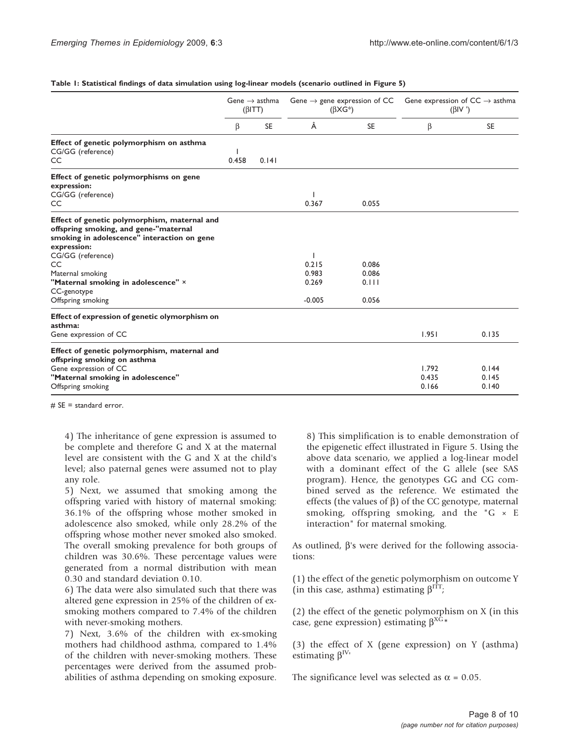|                                                                                                                                                                                                                                                                               | Gene $\rightarrow$ asthma<br>$(\beta$ ITT) |           | Gene $\rightarrow$ gene expression of CC<br>$(\beta XG^*)$ |                                  | Gene expression of $CC \rightarrow$ asthma<br>$(\beta$ IV $')$ |                         |
|-------------------------------------------------------------------------------------------------------------------------------------------------------------------------------------------------------------------------------------------------------------------------------|--------------------------------------------|-----------|------------------------------------------------------------|----------------------------------|----------------------------------------------------------------|-------------------------|
|                                                                                                                                                                                                                                                                               | β                                          | <b>SE</b> | Â                                                          | <b>SE</b>                        | β                                                              | <b>SE</b>               |
| Effect of genetic polymorphism on asthma<br>CG/GG (reference)<br>CC.                                                                                                                                                                                                          | 0.458                                      | 0.141     |                                                            |                                  |                                                                |                         |
| Effect of genetic polymorphisms on gene<br>expression:<br>CG/GG (reference)<br>CC                                                                                                                                                                                             |                                            |           | 0.367                                                      | 0.055                            |                                                                |                         |
|                                                                                                                                                                                                                                                                               |                                            |           |                                                            |                                  |                                                                |                         |
| Effect of genetic polymorphism, maternal and<br>offspring smoking, and gene-"maternal<br>smoking in adolescence" interaction on gene<br>expression:<br>CG/GG (reference)<br>CC<br>Maternal smoking<br>"Maternal smoking in adolescence" ×<br>CC-genotype<br>Offspring smoking |                                            |           | 0.215<br>0.983<br>0.269<br>$-0.005$                        | 0.086<br>0.086<br>0.111<br>0.056 |                                                                |                         |
| <b>Effect of expression of genetic olymorphism on</b><br>asthma:<br>Gene expression of CC                                                                                                                                                                                     |                                            |           |                                                            |                                  | 1.951                                                          | 0.135                   |
| Effect of genetic polymorphism, maternal and<br>offspring smoking on asthma<br>Gene expression of CC<br>"Maternal smoking in adolescence"<br>Offspring smoking                                                                                                                |                                            |           |                                                            |                                  | 1.792<br>0.435<br>0.166                                        | 0.144<br>0.145<br>0.140 |

#### <span id="page-7-0"></span>Table 1: Statistical findings of data simulation using log-linear models (scenario outlined in Figure 5)

#  $SE$  = standard error.

4) The inheritance of gene expression is assumed to be complete and therefore G and X at the maternal level are consistent with the G and X at the child's level; also paternal genes were assumed not to play any role.

5) Next, we assumed that smoking among the offspring varied with history of maternal smoking: 36.1% of the offspring whose mother smoked in adolescence also smoked, while only 28.2% of the offspring whose mother never smoked also smoked. The overall smoking prevalence for both groups of children was 30.6%. These percentage values were generated from a normal distribution with mean 0.30 and standard deviation 0.10.

6) The data were also simulated such that there was altered gene expression in 25% of the children of exsmoking mothers compared to 7.4% of the children with never-smoking mothers.

7) Next, 3.6% of the children with ex-smoking mothers had childhood asthma, compared to 1.4% of the children with never-smoking mothers. These percentages were derived from the assumed probabilities of asthma depending on smoking exposure.

8) This simplification is to enable demonstration of the epigenetic effect illustrated in Figure [5.](#page-5-0) Using the above data scenario, we applied a log-linear model with a dominant effect of the G allele (see SAS program). Hence, the genotypes GG and CG combined served as the reference. We estimated the effects (the values of  $\beta$ ) of the CC genotype, maternal smoking, offspring smoking, and the " $G \times E$ interaction" for maternal smoking.

As outlined,  $\beta$ 's were derived for the following associations:

(1) the effect of the genetic polymorphism on outcome Y (in this case, asthma) estimating  $\beta^{\text{ITT}}$ ;

(2) the effect of the genetic polymorphism on X (in this case, gene expression) estimating  $\beta^{XG*}$ 

(3) the effect of X (gene expression) on Y (asthma) estimating  $\beta^{IV}$ 

The significance level was selected as  $\alpha$  = 0.05.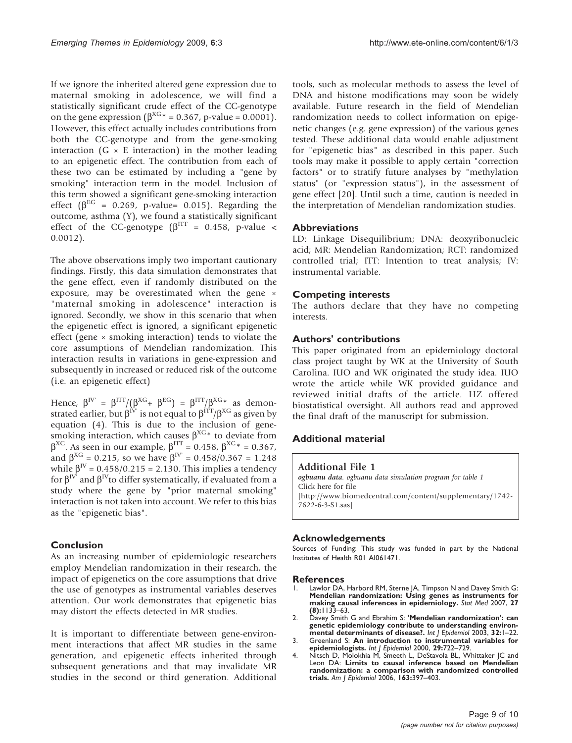<span id="page-8-0"></span>If we ignore the inherited altered gene expression due to maternal smoking in adolescence, we will find a statistically significant crude effect of the CC-genotype on the gene expression ( $\beta^{XG*} = 0.367$ , p-value = 0.0001). However, this effect actually includes contributions from both the CC-genotype and from the gene-smoking interaction ( $G \times E$  interaction) in the mother leading to an epigenetic effect. The contribution from each of these two can be estimated by including a "gene by smoking" interaction term in the model. Inclusion of this term showed a significant gene-smoking interaction effect ( $\beta^{EG}$  = 0.269, p-value= 0.015). Regarding the outcome, asthma (Y), we found a statistically significant effect of the CC-genotype ( $\beta$ <sup>ITT</sup> = 0.458, p-value < 0.0012).

The above observations imply two important cautionary findings. Firstly, this data simulation demonstrates that the gene effect, even if randomly distributed on the exposure, may be overestimated when the gene × "maternal smoking in adolescence" interaction is ignored. Secondly, we show in this scenario that when the epigenetic effect is ignored, a significant epigenetic effect (gene × smoking interaction) tends to violate the core assumptions of Mendelian randomization. This interaction results in variations in gene-expression and subsequently in increased or reduced risk of the outcome (i.e. an epigenetic effect)

Hence,  $\beta^{\text{IV}'} = \beta^{\text{ITT}}/(\beta^{\text{XG}} + \beta^{\text{EG}}) = \beta^{\text{ITT}}/\beta^{\text{XG}}*$  as demonstrated earlier, but  $\beta^{N}$  is not equal to  $\beta^{IIT}/\beta^{XG}$  as given by equation (4). This is due to the inclusion of genesmoking interaction, which causes  $\beta^{XG*}$  to deviate from  $\beta^{XG}$ . As seen in our example,  $\beta^{IT} = 0.458$ ,  $\beta^{XG*} = 0.367$ , and  $\beta^{XG} = 0.215$ , so we have  $\beta^{IV'} = 0.458/0.367 = 1.248$ while  $\beta^{IV} = 0.458/0.215 = 2.130$ . This implies a tendency for  $\beta^{IV}$  and  $\beta^{IV}$  to differ systematically, if evaluated from a study where the gene by "prior maternal smoking" interaction is not taken into account. We refer to this bias as the "epigenetic bias".

#### Conclusion

As an increasing number of epidemiologic researchers employ Mendelian randomization in their research, the impact of epigenetics on the core assumptions that drive the use of genotypes as instrumental variables deserves attention. Our work demonstrates that epigenetic bias may distort the effects detected in MR studies.

It is important to differentiate between gene-environment interactions that affect MR studies in the same generation, and epigenetic effects inherited through subsequent generations and that may invalidate MR studies in the second or third generation. Additional

tools, such as molecular methods to assess the level of DNA and histone modifications may soon be widely available. Future research in the field of Mendelian randomization needs to collect information on epigenetic changes (e.g. gene expression) of the various genes tested. These additional data would enable adjustment for "epigenetic bias" as described in this paper. Such tools may make it possible to apply certain "correction factors" or to stratify future analyses by "methylation status" (or "expression status"), in the assessment of gene effect [\[20](#page-9-0)]. Until such a time, caution is needed in the interpretation of Mendelian randomization studies.

#### Abbreviations

LD: Linkage Disequilibrium; DNA: deoxyribonucleic acid; MR: Mendelian Randomization; RCT: randomized controlled trial; ITT: Intention to treat analysis; IV: instrumental variable.

#### Competing interests

The authors declare that they have no competing interests.

#### Authors' contributions

This paper originated from an epidemiology doctoral class project taught by WK at the University of South Carolina. IUO and WK originated the study idea. IUO wrote the article while WK provided guidance and reviewed initial drafts of the article. HZ offered biostatistical oversight. All authors read and approved the final draft of the manuscript for submission.

#### Additional material

#### Additional File 1

ogbuanu data. ogbuanu data simulation program for table [1](#page-7-0) Click here for file [http://www.biomedcentral.com/content/supplementary/1742- 7622-6-3-S1.sas]

#### Acknowledgements

Sources of Funding: This study was funded in part by the National Institutes of Health R01 AI061471.

## **References**<br>1. Lawlor DA.

- 1. Lawlor DA, Harbord RM, Sterne JA, Timpson N and Davey Smith G: Mendelian randomization: Using genes as instruments for making causal inferences in epidemiology. Stat Med 2007, 27  $(8):1133-63.$
- 2. Davey Smith G and Ebrahim S: ['Mendelian randomization': can](http://www.ncbi.nlm.nih.gov/pubmed/12689998?dopt=Abstract) [genetic epidemiology contribute to understanding environ](http://www.ncbi.nlm.nih.gov/pubmed/12689998?dopt=Abstract)[mental determinants of disease?.](http://www.ncbi.nlm.nih.gov/pubmed/12689998?dopt=Abstract) Int J Epidemiol 2003, 32:1-22.
- 3. Greenland S: [An introduction to instrumental variables for](http://www.ncbi.nlm.nih.gov/pubmed/10922351?dopt=Abstract) [epidemiologists.](http://www.ncbi.nlm.nih.gov/pubmed/10922351?dopt=Abstract) Int J Epidemiol 2000, 29:722–729.
- 4. Nitsch D, Molokhia M, Smeeth L, DeStavola BL, Whittaker JC and Leon DA: [Limits to causal inference based on Mendelian](http://www.ncbi.nlm.nih.gov/pubmed/16410347?dopt=Abstract) [randomization: a comparison with randomized controlled](http://www.ncbi.nlm.nih.gov/pubmed/16410347?dopt=Abstract) [trials.](http://www.ncbi.nlm.nih.gov/pubmed/16410347?dopt=Abstract) Am J Epidemiol 2006, 163:397–403.